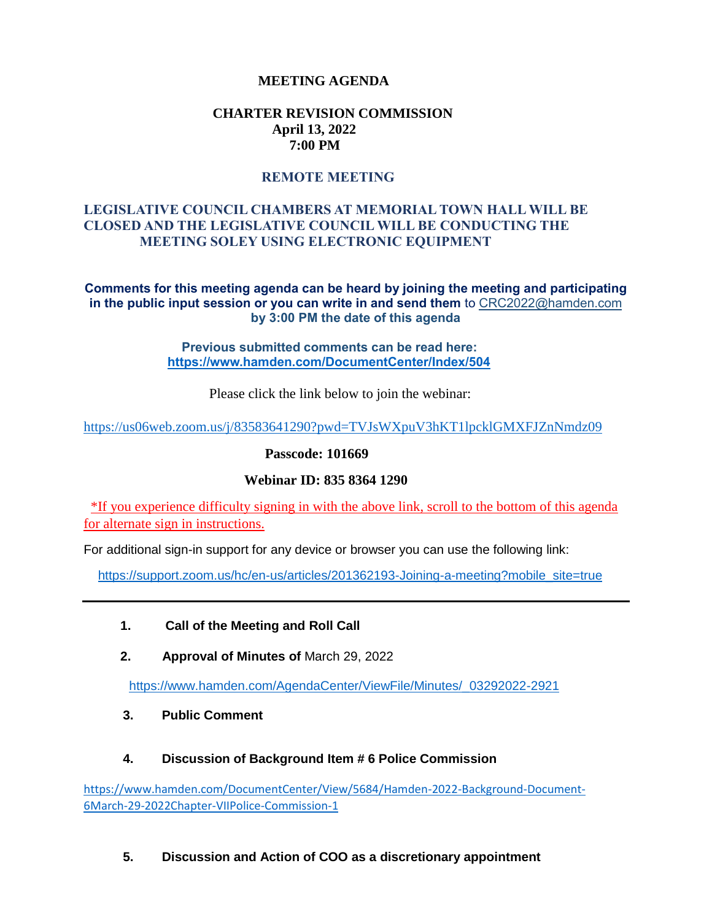## **MEETING AGENDA**

### **CHARTER REVISION COMMISSION April 13, 2022 7:00 PM**

### **REMOTE MEETING**

# **LEGISLATIVE COUNCIL CHAMBERS AT MEMORIAL TOWN HALL WILL BE CLOSED AND THE LEGISLATIVE COUNCIL WILL BE CONDUCTING THE MEETING SOLEY USING ELECTRONIC EQUIPMENT**

#### **Comments for this meeting agenda can be heard by joining the meeting and participating in the public input session or you can write in and send them** to CRC2022@hamden.com **by 3:00 PM the date of this agenda**

#### **Previous submitted comments can be read here: <https://www.hamden.com/DocumentCenter/Index/504>**

Please click the link below to join the webinar:

<https://us06web.zoom.us/j/83583641290?pwd=TVJsWXpuV3hKT1lpcklGMXFJZnNmdz09>

**Passcode: 101669**

### **Webinar ID: 835 8364 1290**

\*If you experience difficulty signing in with the above link, scroll to the bottom of this agenda for alternate sign in instructions.

For additional sign-in support for any device or browser you can use the following link:

[https://support.zoom.us/hc/en-us/articles/201362193-Joining-a-meeting?mobile\\_site=true](https://support.zoom.us/hc/en-us/articles/201362193-Joining-a-meeting?mobile_site=true)

- **1. Call of the Meeting and Roll Call**
- **2. Approval of Minutes of** March 29, 2022

[https://www.hamden.com/AgendaCenter/ViewFile/Minutes/\\_03292022-2921](https://www.hamden.com/AgendaCenter/ViewFile/Minutes/_03292022-2921)

 **3. Public Comment** 

### **4. Discussion of Background Item # 6 Police Commission**

[https://www.hamden.com/DocumentCenter/View/5684/Hamden-2022-Background-Document-](https://www.hamden.com/DocumentCenter/View/5684/Hamden-2022-Background-Document-6March-29-2022Chapter-VIIPolice-Commission-1)[6March-29-2022Chapter-VIIPolice-Commission-1](https://www.hamden.com/DocumentCenter/View/5684/Hamden-2022-Background-Document-6March-29-2022Chapter-VIIPolice-Commission-1)

### **5. Discussion and Action of COO as a discretionary appointment**